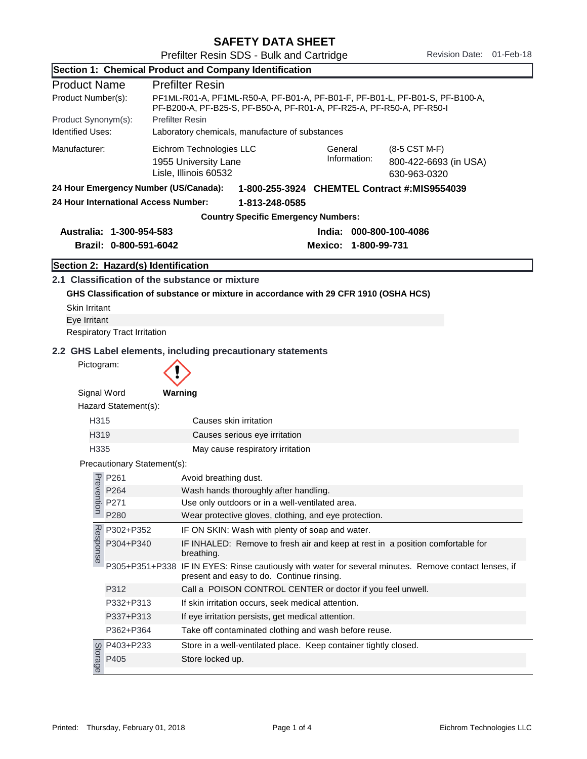SAFETY DATA SHEET

Prefilter Resin SDS - Bulk and Cartridge Revision Date: 01-Feb-18

|                                                                                       |                                      | Section 1: Chemical Product and Company Identification                                                                                                |                         |                                                                                        |  |
|---------------------------------------------------------------------------------------|--------------------------------------|-------------------------------------------------------------------------------------------------------------------------------------------------------|-------------------------|----------------------------------------------------------------------------------------|--|
| <b>Product Name</b>                                                                   |                                      | <b>Prefilter Resin</b>                                                                                                                                |                         |                                                                                        |  |
| Product Number(s):                                                                    |                                      | PF1ML-R01-A, PF1ML-R50-A, PF-B01-A, PF-B01-F, PF-B01-L, PF-B01-S, PF-B100-A,<br>PF-B200-A, PF-B25-S, PF-B50-A, PF-R01-A, PF-R25-A, PF-R50-A, PF-R50-I |                         |                                                                                        |  |
| Product Synonym(s):                                                                   |                                      | <b>Prefilter Resin</b>                                                                                                                                |                         |                                                                                        |  |
| <b>Identified Uses:</b>                                                               |                                      | Laboratory chemicals, manufacture of substances                                                                                                       |                         |                                                                                        |  |
| Manufacturer:                                                                         |                                      | Eichrom Technologies LLC<br>1955 University Lane<br>Lisle, Illinois 60532                                                                             | General<br>Information: | (8-5 CST M-F)<br>800-422-6693 (in USA)<br>630-963-0320                                 |  |
| 24 Hour Emergency Number (US/Canada):<br>1-800-255-3924 CHEMTEL Contract #:MIS9554039 |                                      |                                                                                                                                                       |                         |                                                                                        |  |
|                                                                                       | 24 Hour International Access Number: | 1-813-248-0585                                                                                                                                        |                         |                                                                                        |  |
|                                                                                       |                                      | <b>Country Specific Emergency Numbers:</b>                                                                                                            |                         |                                                                                        |  |
| Australia: 1-300-954-583<br>India: 000-800-100-4086                                   |                                      |                                                                                                                                                       |                         |                                                                                        |  |
|                                                                                       | Brazil: 0-800-591-6042               |                                                                                                                                                       | Mexico: 1-800-99-731    |                                                                                        |  |
|                                                                                       | Section 2: Hazard(s) Identification  |                                                                                                                                                       |                         |                                                                                        |  |
|                                                                                       |                                      | 2.1 Classification of the substance or mixture                                                                                                        |                         |                                                                                        |  |
|                                                                                       |                                      | GHS Classification of substance or mixture in accordance with 29 CFR 1910 (OSHA HCS)                                                                  |                         |                                                                                        |  |
| <b>Skin Irritant</b>                                                                  |                                      |                                                                                                                                                       |                         |                                                                                        |  |
| Eye Irritant                                                                          |                                      |                                                                                                                                                       |                         |                                                                                        |  |
|                                                                                       | <b>Respiratory Tract Irritation</b>  |                                                                                                                                                       |                         |                                                                                        |  |
|                                                                                       |                                      |                                                                                                                                                       |                         |                                                                                        |  |
| Pictogram:                                                                            |                                      | 2.2 GHS Label elements, including precautionary statements                                                                                            |                         |                                                                                        |  |
|                                                                                       |                                      |                                                                                                                                                       |                         |                                                                                        |  |
| Signal Word                                                                           |                                      | Warning                                                                                                                                               |                         |                                                                                        |  |
|                                                                                       | Hazard Statement(s):                 |                                                                                                                                                       |                         |                                                                                        |  |
| H315                                                                                  |                                      | Causes skin irritation                                                                                                                                |                         |                                                                                        |  |
| H319                                                                                  |                                      | Causes serious eye irritation                                                                                                                         |                         |                                                                                        |  |
| H335                                                                                  |                                      | May cause respiratory irritation                                                                                                                      |                         |                                                                                        |  |
|                                                                                       | Precautionary Statement(s):          |                                                                                                                                                       |                         |                                                                                        |  |
| Preve                                                                                 | P261                                 | Avoid breathing dust.                                                                                                                                 |                         |                                                                                        |  |
|                                                                                       | P264                                 | Wash hands thoroughly after handling.                                                                                                                 |                         |                                                                                        |  |
| ntion                                                                                 | P271                                 | Use only outdoors or in a well-ventilated area.                                                                                                       |                         |                                                                                        |  |
|                                                                                       | P280                                 | Wear protective gloves, clothing, and eye protection.                                                                                                 |                         |                                                                                        |  |
|                                                                                       | P302+P352                            | IF ON SKIN: Wash with plenty of soap and water.                                                                                                       |                         |                                                                                        |  |
| Response                                                                              | P304+P340                            | IF INHALED: Remove to fresh air and keep at rest in a position comfortable for<br>breathing.                                                          |                         |                                                                                        |  |
|                                                                                       | P305+P351+P338                       | present and easy to do. Continue rinsing.                                                                                                             |                         | IF IN EYES: Rinse cautiously with water for several minutes. Remove contact lenses, if |  |
|                                                                                       | P312                                 | Call a POISON CONTROL CENTER or doctor if you feel unwell.                                                                                            |                         |                                                                                        |  |
|                                                                                       | P332+P313                            | If skin irritation occurs, seek medical attention.                                                                                                    |                         |                                                                                        |  |
|                                                                                       | P337+P313                            | If eye irritation persists, get medical attention.                                                                                                    |                         |                                                                                        |  |
|                                                                                       | P362+P364                            | Take off contaminated clothing and wash before reuse.                                                                                                 |                         |                                                                                        |  |
|                                                                                       | P403+P233                            | Store in a well-ventilated place. Keep container tightly closed.                                                                                      |                         |                                                                                        |  |
| Storage                                                                               | P405                                 | Store locked up.                                                                                                                                      |                         |                                                                                        |  |
|                                                                                       |                                      |                                                                                                                                                       |                         |                                                                                        |  |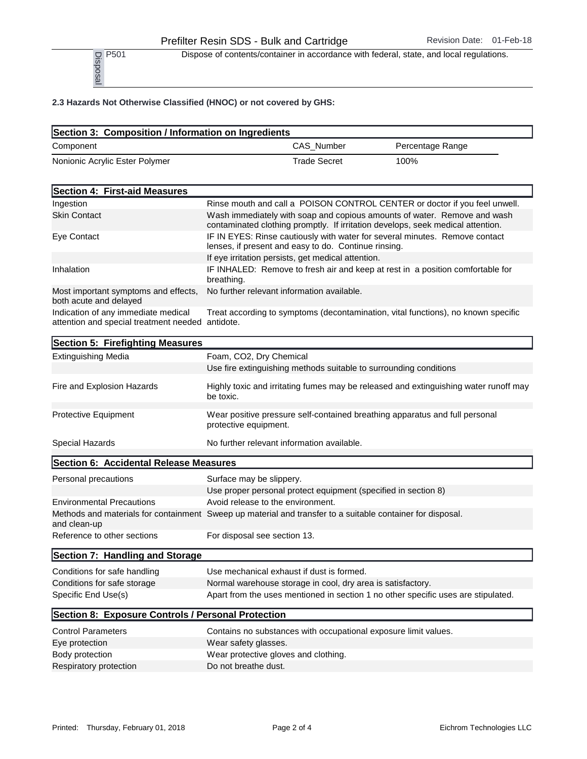P<sub>501</sub> Dispose of contents/container in accordance with federal, state, and local regulations.

|                                | Dispose of contents/container in accordance with federal, state, and local regulations. |                  |
|--------------------------------|-----------------------------------------------------------------------------------------|------------------|
|                                | 2.3 Hazards Not Otherwise Classified (HNOC) or not covered by GHS:                      |                  |
|                                | Section 3: Composition / Information on Ingredients                                     |                  |
| Component                      | CAS Number                                                                              | Percentage Range |
| Nonionic Acrylic Ester Polymer | <b>Trade Secret</b>                                                                     | 100%             |

| Section 4: First-aid Measures                                                           |                                                                                                                                                             |
|-----------------------------------------------------------------------------------------|-------------------------------------------------------------------------------------------------------------------------------------------------------------|
| Ingestion                                                                               | Rinse mouth and call a POISON CONTROL CENTER or doctor if you feel unwell.                                                                                  |
| <b>Skin Contact</b>                                                                     | Wash immediately with soap and copious amounts of water. Remove and wash<br>contaminated clothing promptly. If irritation develops, seek medical attention. |
| Eye Contact                                                                             | IF IN EYES: Rinse cautiously with water for several minutes. Remove contact<br>lenses, if present and easy to do. Continue rinsing.                         |
|                                                                                         | If eye irritation persists, get medical attention.                                                                                                          |
| Inhalation                                                                              | IF INHALED: Remove to fresh air and keep at rest in a position comfortable for<br>breathing.                                                                |
| Most important symptoms and effects,<br>both acute and delayed                          | No further relevant information available.                                                                                                                  |
| Indication of any immediate medical<br>attention and special treatment needed antidote. | Treat according to symptoms (decontamination, vital functions), no known specific                                                                           |

| Section 5: Firefighting Measures                   |                                                                                                            |
|----------------------------------------------------|------------------------------------------------------------------------------------------------------------|
| <b>Extinguishing Media</b>                         | Foam, CO2, Dry Chemical                                                                                    |
|                                                    | Use fire extinguishing methods suitable to surrounding conditions                                          |
| Fire and Explosion Hazards                         | Highly toxic and irritating fumes may be released and extinguishing water runoff may<br>be toxic.          |
| Protective Equipment                               | Wear positive pressure self-contained breathing apparatus and full personal<br>protective equipment.       |
| Special Hazards                                    | No further relevant information available.                                                                 |
| Section 6: Accidental Release Measures             |                                                                                                            |
| Personal precautions                               | Surface may be slippery.                                                                                   |
|                                                    | Use proper personal protect equipment (specified in section 8)                                             |
| <b>Environmental Precautions</b>                   | Avoid release to the environment.                                                                          |
| and clean-up                                       | Methods and materials for containment Sweep up material and transfer to a suitable container for disposal. |
| Reference to other sections                        | For disposal see section 13.                                                                               |
| Section 7: Handling and Storage                    |                                                                                                            |
| Conditions for safe handling                       | Use mechanical exhaust if dust is formed.                                                                  |
| Conditions for safe storage                        | Normal warehouse storage in cool, dry area is satisfactory.                                                |
| Specific End Use(s)                                | Apart from the uses mentioned in section 1 no other specific uses are stipulated.                          |
| Section 8: Exposure Controls / Personal Protection |                                                                                                            |
| <b>Control Parameters</b>                          | Contains no substances with occupational exposure limit values.                                            |
| Eye protection                                     | Wear safety glasses.                                                                                       |
| Body protection                                    | Wear protective gloves and clothing.                                                                       |
| Respiratory protection                             | Do not breathe dust.                                                                                       |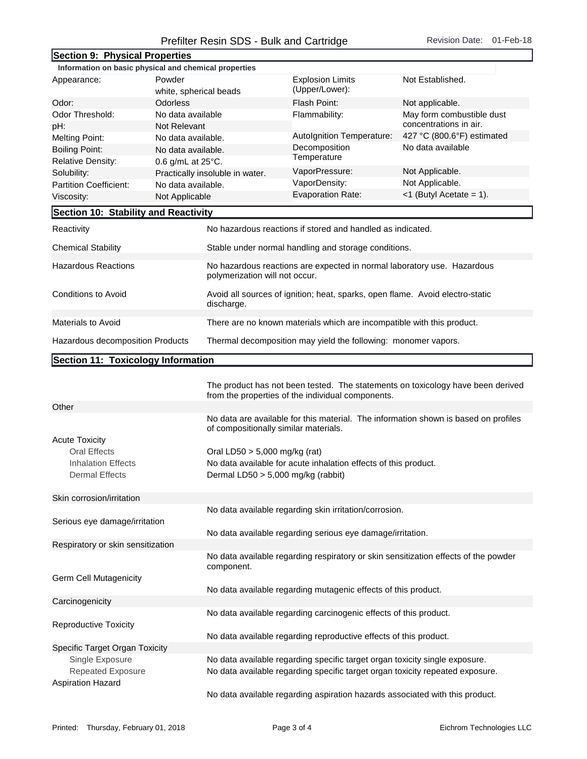## Prefilter Resin SDS - Bulk and Cartridge Revision Date: 01-Feb-18

| Section 9: Physical Properties                                                                     |                                 |                                                                                                           |                            |  |
|----------------------------------------------------------------------------------------------------|---------------------------------|-----------------------------------------------------------------------------------------------------------|----------------------------|--|
| Information on basic physical and chemical properties                                              |                                 |                                                                                                           |                            |  |
| Appearance:                                                                                        | Powder                          | <b>Explosion Limits</b>                                                                                   | Not Established.           |  |
|                                                                                                    | white, spherical beads          | (Upper/Lower):                                                                                            |                            |  |
| Odor:                                                                                              | <b>Odorless</b>                 | Flash Point:                                                                                              | Not applicable.            |  |
| Odor Threshold:                                                                                    | No data available               | Flammability:                                                                                             | May form combustible dust  |  |
| pH:                                                                                                | Not Relevant                    |                                                                                                           | concentrations in air.     |  |
| <b>Melting Point:</b>                                                                              | No data available.              | Autolgnition Temperature:                                                                                 | 427 °C (800.6°F) estimated |  |
| <b>Boiling Point:</b>                                                                              | No data available.              | Decomposition                                                                                             | No data available          |  |
| <b>Relative Density:</b>                                                                           | 0.6 g/mL at 25°C.               | Temperature                                                                                               |                            |  |
| Solubility:                                                                                        | Practically insoluble in water. | VaporPressure:                                                                                            | Not Applicable.            |  |
| <b>Partition Coefficient:</b>                                                                      | No data available.              | VaporDensity:                                                                                             | Not Applicable.            |  |
| Viscosity:                                                                                         | Not Applicable                  | <b>Evaporation Rate:</b>                                                                                  | $<$ 1 (Butyl Acetate = 1). |  |
| Section 10: Stability and Reactivity                                                               |                                 |                                                                                                           |                            |  |
| Reactivity                                                                                         |                                 | No hazardous reactions if stored and handled as indicated.                                                |                            |  |
| <b>Chemical Stability</b>                                                                          |                                 | Stable under normal handling and storage conditions.                                                      |                            |  |
| <b>Hazardous Reactions</b>                                                                         |                                 | No hazardous reactions are expected in normal laboratory use. Hazardous<br>polymerization will not occur. |                            |  |
| Conditions to Avoid                                                                                | discharge.                      | Avoid all sources of ignition; heat, sparks, open flame. Avoid electro-static                             |                            |  |
| Materials to Avoid                                                                                 |                                 | There are no known materials which are incompatible with this product.                                    |                            |  |
| Hazardous decomposition Products<br>Thermal decomposition may yield the following: monomer vapors. |                                 |                                                                                                           |                            |  |
| Section 11: Toxicology Information                                                                 |                                 |                                                                                                           |                            |  |

|                                   | The product has not been tested. The statements on toxicology have been derived<br>from the properties of the individual components. |
|-----------------------------------|--------------------------------------------------------------------------------------------------------------------------------------|
| Other                             |                                                                                                                                      |
|                                   | No data are available for this material. The information shown is based on profiles<br>of compositionally similar materials.         |
| <b>Acute Toxicity</b>             |                                                                                                                                      |
| <b>Oral Effects</b>               | Oral LD50 $>$ 5,000 mg/kg (rat)                                                                                                      |
| <b>Inhalation Effects</b>         | No data available for acute inhalation effects of this product.                                                                      |
| <b>Dermal Effects</b>             | Dermal LD50 > 5,000 mg/kg (rabbit)                                                                                                   |
| Skin corrosion/irritation         |                                                                                                                                      |
|                                   | No data available regarding skin irritation/corrosion.                                                                               |
| Serious eye damage/irritation     |                                                                                                                                      |
|                                   | No data available regarding serious eye damage/irritation.                                                                           |
| Respiratory or skin sensitization |                                                                                                                                      |
|                                   | No data available regarding respiratory or skin sensitization effects of the powder<br>component.                                    |
| Germ Cell Mutagenicity            |                                                                                                                                      |
|                                   | No data available regarding mutagenic effects of this product.                                                                       |
| Carcinogenicity                   |                                                                                                                                      |
| <b>Reproductive Toxicity</b>      | No data available regarding carcinogenic effects of this product.                                                                    |
|                                   | No data available regarding reproductive effects of this product.                                                                    |
| Specific Target Organ Toxicity    |                                                                                                                                      |
| Single Exposure                   | No data available regarding specific target organ toxicity single exposure.                                                          |
| <b>Repeated Exposure</b>          | No data available regarding specific target organ toxicity repeated exposure.                                                        |
| <b>Aspiration Hazard</b>          |                                                                                                                                      |
|                                   | No data available regarding aspiration hazards associated with this product.                                                         |